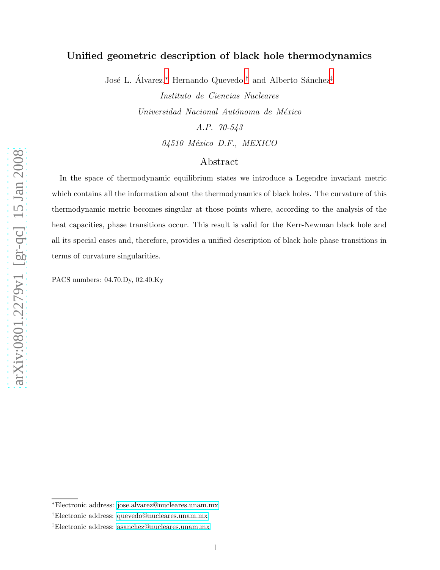# Unified geometric description of black hole thermodynamics

José L. Álvarez,\* Hernando Quevedo,<sup>[†](#page-0-1)</sup> and Alberto Sánchez<sup>[‡](#page-0-2)</sup>

Instituto de Ciencias Nucleares Universidad Nacional Autónoma de México A.P. 70-543 04510 México D.F., MEXICO

## Abstract

In the space of thermodynamic equilibrium states we introduce a Legendre invariant metric which contains all the information about the thermodynamics of black holes. The curvature of this thermodynamic metric becomes singular at those points where, according to the analysis of the heat capacities, phase transitions occur. This result is valid for the Kerr-Newman black hole and all its special cases and, therefore, provides a unified description of black hole phase transitions in terms of curvature singularities.

PACS numbers: 04.70.Dy, 02.40.Ky

<span id="page-0-1"></span><span id="page-0-0"></span><sup>∗</sup>Electronic address: [jose.alvarez@nucleares.unam.mx](mailto:jose.alvarez@nucleares.unam.mx)

<span id="page-0-2"></span><sup>†</sup>Electronic address: [quevedo@nucleares.unam.mx](mailto:quevedo@nucleares.unam.mx)

<sup>‡</sup>Electronic address: [asanchez@nucleares.unam.mx](mailto:asanchez@nucleares.unam.mx)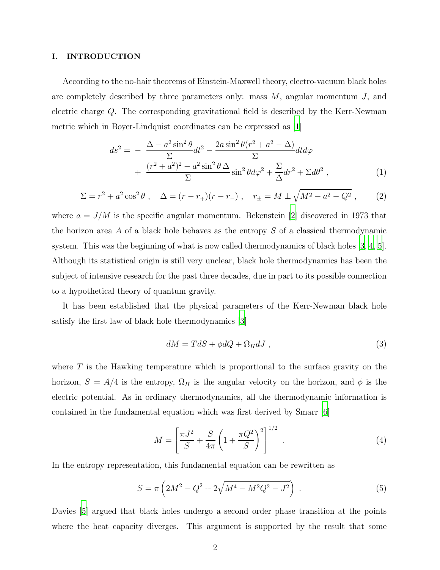#### I. INTRODUCTION

According to the no-hair theorems of Einstein-Maxwell theory, electro-vacuum black holes are completely described by three parameters only: mass  $M$ , angular momentum  $J$ , and electric charge Q. The corresponding gravitational field is described by the Kerr-Newman metric which in Boyer-Lindquist coordinates can be expressed as [\[1\]](#page-10-0)

<span id="page-1-2"></span>
$$
ds^{2} = -\frac{\Delta - a^{2} \sin^{2} \theta}{\Sigma} dt^{2} - \frac{2a \sin^{2} \theta (r^{2} + a^{2} - \Delta)}{\Sigma} dt d\varphi
$$

$$
+ \frac{(r^{2} + a^{2})^{2} - a^{2} \sin^{2} \theta \Delta}{\Sigma} \sin^{2} \theta d\varphi^{2} + \frac{\Sigma}{\Delta} dr^{2} + \Sigma d\theta^{2} , \qquad (1)
$$

<span id="page-1-3"></span>
$$
\Sigma = r^2 + a^2 \cos^2 \theta , \quad \Delta = (r - r_+)(r - r_-) , \quad r_{\pm} = M \pm \sqrt{M^2 - a^2 - Q^2} , \tag{2}
$$

where  $a = J/M$  is the specific angular momentum. Bekenstein [\[2\]](#page-10-1) discovered in 1973 that the horizon area  $A$  of a black hole behaves as the entropy  $S$  of a classical thermodynamic system. This was the beginning of what is now called thermodynamics of black holes [\[3](#page-10-2), [4,](#page-10-3) [5\]](#page-10-4). Although its statistical origin is still very unclear, black hole thermodynamics has been the subject of intensive research for the past three decades, due in part to its possible connection to a hypothetical theory of quantum gravity.

It has been established that the physical parameters of the Kerr-Newman black hole satisfy the first law of black hole thermodynamics [\[3](#page-10-2)]

<span id="page-1-0"></span>
$$
dM = TdS + \phi dQ + \Omega_H dJ \tag{3}
$$

where  $T$  is the Hawking temperature which is proportional to the surface gravity on the horizon,  $S = A/4$  is the entropy,  $\Omega_H$  is the angular velocity on the horizon, and  $\phi$  is the electric potential. As in ordinary thermodynamics, all the thermodynamic information is contained in the fundamental equation which was first derived by Smarr [\[6\]](#page-10-5)

$$
M = \left[\frac{\pi J^2}{S} + \frac{S}{4\pi} \left(1 + \frac{\pi Q^2}{S}\right)^2\right]^{1/2} .
$$
 (4)

In the entropy representation, this fundamental equation can be rewritten as

<span id="page-1-1"></span>
$$
S = \pi \left( 2M^2 - Q^2 + 2\sqrt{M^4 - M^2 Q^2 - J^2} \right) . \tag{5}
$$

Davies [\[5\]](#page-10-4) argued that black holes undergo a second order phase transition at the points where the heat capacity diverges. This argument is supported by the result that some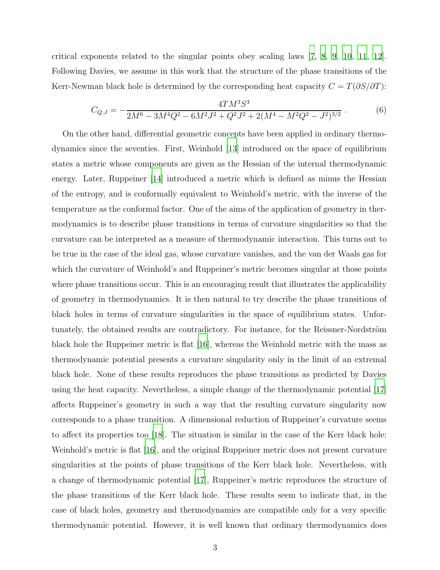critical exponents related to the singular points obey scaling laws [\[7,](#page-10-6) [8](#page-11-0), [9](#page-11-1), [10,](#page-11-2) [11,](#page-11-3) [12\]](#page-11-4). Following Davies, we assume in this work that the structure of the phase transitions of the Kerr-Newman black hole is determined by the corresponding heat capacity  $C = T(\partial S/\partial T)$ :

<span id="page-2-0"></span>
$$
C_{Q,J} = -\frac{4TM^3S^3}{2M^6 - 3M^4Q^2 - 6M^2J^2 + Q^2J^2 + 2(M^4 - M^2Q^2 - J^2)^{3/2}}.
$$
 (6)

On the other hand, differential geometric concepts have been applied in ordinary thermodynamics since the seventies. First, Weinhold [\[13\]](#page-11-5) introduced on the space of equilibrium states a metric whose components are given as the Hessian of the internal thermodynamic energy. Later, Ruppeiner [\[14](#page-11-6)] introduced a metric which is defined as minus the Hessian of the entropy, and is conformally equivalent to Weinhold's metric, with the inverse of the temperature as the conformal factor. One of the aims of the application of geometry in thermodynamics is to describe phase transitions in terms of curvature singularities so that the curvature can be interpreted as a measure of thermodynamic interaction. This turns out to be true in the case of the ideal gas, whose curvature vanishes, and the van der Waals gas for which the curvature of Weinhold's and Ruppeiner's metric becomes singular at those points where phase transitions occur. This is an encouraging result that illustrates the applicability of geometry in thermodynamics. It is then natural to try describe the phase transitions of black holes in terms of curvature singularities in the space of equilibrium states. Unfortunately, the obtained results are contradictory. For instance, for the Reissner-Nordström black hole the Ruppeiner metric is flat [\[16\]](#page-11-7), whereas the Weinhold metric with the mass as thermodynamic potential presents a curvature singularity only in the limit of an extremal black hole. None of these results reproduces the phase transitions as predicted by Davies using the heat capacity. Nevertheless, a simple change of the thermodynamic potential [\[17\]](#page-11-8) affects Ruppeiner's geometry in such a way that the resulting curvature singularity now corresponds to a phase transition. A dimensional reduction of Ruppeiner's curvature seems to affect its properties too [\[18\]](#page-11-9). The situation is similar in the case of the Kerr black hole: Weinhold's metric is flat [\[16\]](#page-11-7), and the original Ruppeiner metric does not present curvature singularities at the points of phase transitions of the Kerr black hole. Nevertheless, with a change of thermodynamic potential [\[17\]](#page-11-8), Ruppeiner's metric reproduces the structure of the phase transitions of the Kerr black hole. These results seem to indicate that, in the case of black holes, geometry and thermodynamics are compatible only for a very specific thermodynamic potential. However, it is well known that ordinary thermodynamics does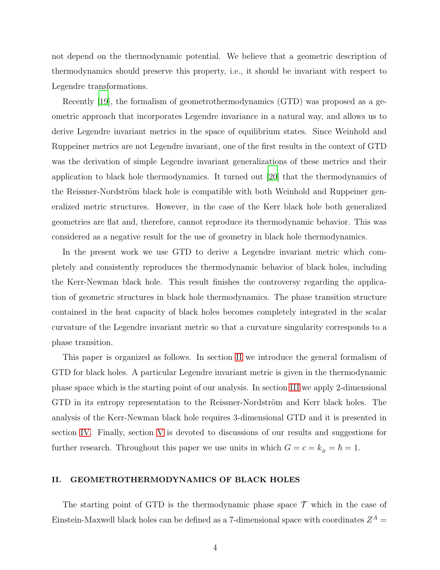not depend on the thermodynamic potential. We believe that a geometric description of thermodynamics should preserve this property, i.e., it should be invariant with respect to Legendre transformations.

Recently [\[19](#page-11-10)], the formalism of geometrothermodynamics (GTD) was proposed as a geometric approach that incorporates Legendre invariance in a natural way, and allows us to derive Legendre invariant metrics in the space of equilibrium states. Since Weinhold and Ruppeiner metrics are not Legendre invariant, one of the first results in the context of GTD was the derivation of simple Legendre invariant generalizations of these metrics and their application to black hole thermodynamics. It turned out [\[20\]](#page-11-11) that the thermodynamics of the Reissner-Nordström black hole is compatible with both Weinhold and Ruppeiner generalized metric structures. However, in the case of the Kerr black hole both generalized geometries are flat and, therefore, cannot reproduce its thermodynamic behavior. This was considered as a negative result for the use of geometry in black hole thermodynamics.

In the present work we use GTD to derive a Legendre invariant metric which completely and consistently reproduces the thermodynamic behavior of black holes, including the Kerr-Newman black hole. This result finishes the controversy regarding the application of geometric structures in black hole thermodynamics. The phase transition structure contained in the heat capacity of black holes becomes completely integrated in the scalar curvature of the Legendre invariant metric so that a curvature singularity corresponds to a phase transition.

This paper is organized as follows. In section [II](#page-3-0) we introduce the general formalism of GTD for black holes. A particular Legendre invariant metric is given in the thermodynamic phase space which is the starting point of our analysis. In section [III](#page-6-0) we apply 2-dimensional GTD in its entropy representation to the Reissner-Nordström and Kerr black holes. The analysis of the Kerr-Newman black hole requires 3-dimensional GTD and it is presented in section [IV.](#page-8-0) Finally, section [V](#page-9-0) is devoted to discussions of our results and suggestions for further research. Throughout this paper we use units in which  $G = c = k_B = \hbar = 1$ .

## <span id="page-3-0"></span>II. GEOMETROTHERMODYNAMICS OF BLACK HOLES

The starting point of GTD is the thermodynamic phase space  $\mathcal T$  which in the case of Einstein-Maxwell black holes can be defined as a 7-dimensional space with coordinates  $Z^A$  =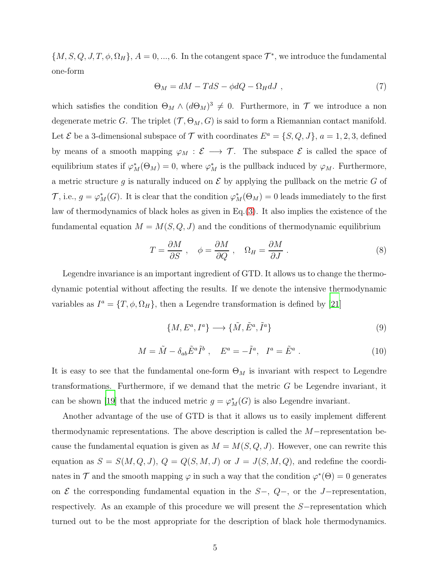${M, S, Q, J, T, \phi, \Omega_H}, A = 0, ..., 6$ . In the cotangent space  $\mathcal{T}^*$ , we introduce the fundamental one-form

$$
\Theta_M = dM - TdS - \phi dQ - \Omega_H dJ \tag{7}
$$

which satisfies the condition  $\Theta_M \wedge (d\Theta_M)^3 \neq 0$ . Furthermore, in  $\mathcal T$  we introduce a non degenerate metric G. The triplet  $(\mathcal{T}, \Theta_M, G)$  is said to form a Riemannian contact manifold. Let  $\mathcal E$  be a 3-dimensional subspace of  $\mathcal T$  with coordinates  $E^a = \{S, Q, J\}$ ,  $a = 1, 2, 3$ , defined by means of a smooth mapping  $\varphi_M : \mathcal{E} \longrightarrow \mathcal{T}$ . The subspace  $\mathcal{E}$  is called the space of equilibrium states if  $\varphi_M^*(\Theta_M) = 0$ , where  $\varphi_M^*$  is the pullback induced by  $\varphi_M$ . Furthermore, a metric structure g is naturally induced on  $\mathcal E$  by applying the pullback on the metric G of  $\mathcal{T}$ , i.e.,  $g = \varphi_M^*(G)$ . It is clear that the condition  $\varphi_M^*(\Theta_M) = 0$  leads immediately to the first law of thermodynamics of black holes as given in Eq.[\(3\)](#page-1-0). It also implies the existence of the fundamental equation  $M = M(S, Q, J)$  and the conditions of thermodynamic equilibrium

$$
T = \frac{\partial M}{\partial S} , \quad \phi = \frac{\partial M}{\partial Q} , \quad \Omega_H = \frac{\partial M}{\partial J} . \tag{8}
$$

Legendre invariance is an important ingredient of GTD. It allows us to change the thermodynamic potential without affecting the results. If we denote the intensive thermodynamic variables as  $I^a = \{T, \phi, \Omega_H\}$ , then a Legendre transformation is defined by [\[21](#page-11-12)]

$$
\{M, E^a, I^a\} \longrightarrow \{\tilde{M}, \tilde{E}^a, \tilde{I}^a\}
$$
\n(9)

<span id="page-4-0"></span>
$$
M = \tilde{M} - \delta_{ab}\tilde{E}^a \tilde{I}^b , \quad E^a = -\tilde{I}^a, \quad I^a = \tilde{E}^a . \tag{10}
$$

It is easy to see that the fundamental one-form  $\Theta_M$  is invariant with respect to Legendre transformations. Furthermore, if we demand that the metric  $G$  be Legendre invariant, it can be shown [\[19\]](#page-11-10) that the induced metric  $g = \varphi_M^*(G)$  is also Legendre invariant.

Another advantage of the use of GTD is that it allows us to easily implement different thermodynamic representations. The above description is called the M−representation because the fundamental equation is given as  $M = M(S, Q, J)$ . However, one can rewrite this equation as  $S = S(M, Q, J), Q = Q(S, M, J)$  or  $J = J(S, M, Q)$ , and redefine the coordinates in  $\mathcal T$  and the smooth mapping  $\varphi$  in such a way that the condition  $\varphi^*(\Theta) = 0$  generates on  $\mathcal E$  the corresponding fundamental equation in the  $S-$ ,  $Q-$ , or the J-representation, respectively. As an example of this procedure we will present the S−representation which turned out to be the most appropriate for the description of black hole thermodynamics.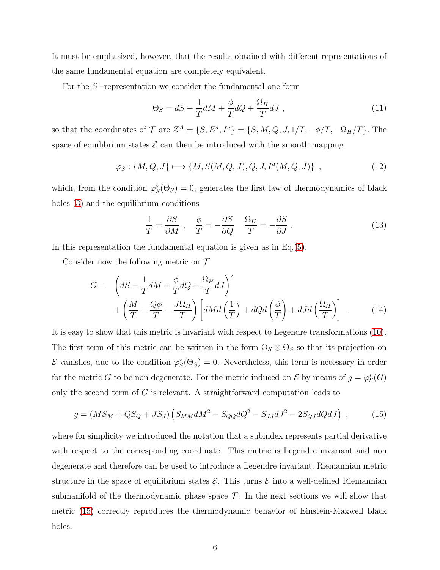It must be emphasized, however, that the results obtained with different representations of the same fundamental equation are completely equivalent.

For the S−representation we consider the fundamental one-form

$$
\Theta_S = dS - \frac{1}{T} dM + \frac{\phi}{T} dQ + \frac{\Omega_H}{T} dJ , \qquad (11)
$$

so that the coordinates of  $\mathcal{T}$  are  $Z^A = \{S, E^a, I^a\} = \{S, M, Q, J, 1/T, -\phi/T, -\Omega_H/T\}$ . The space of equilibrium states  $\mathcal E$  can then be introduced with the smooth mapping

$$
\varphi_S: \{M, Q, J\} \longmapsto \{M, S(M, Q, J), Q, J, I^a(M, Q, J)\}, \qquad (12)
$$

which, from the condition  $\varphi_S^*(\Theta_S) = 0$ , generates the first law of thermodynamics of black holes [\(3\)](#page-1-0) and the equilibrium conditions

$$
\frac{1}{T} = \frac{\partial S}{\partial M} \ , \quad \frac{\phi}{T} = -\frac{\partial S}{\partial Q} \quad \frac{\Omega_H}{T} = -\frac{\partial S}{\partial J} \ . \tag{13}
$$

In this representation the fundamental equation is given as in  $Eq.(5)$  $Eq.(5)$ .

Consider now the following metric on  $\mathcal T$ 

$$
G = \left( dS - \frac{1}{T} dM + \frac{\phi}{T} dQ + \frac{\Omega_H}{T} dJ \right)^2 + \left( \frac{M}{T} - \frac{Q\phi}{T} - \frac{J\Omega_H}{T} \right) \left[ dMd\left(\frac{1}{T}\right) + dQd\left(\frac{\phi}{T}\right) + dJd\left(\frac{\Omega_H}{T}\right) \right] \,. \tag{14}
$$

It is easy to show that this metric is invariant with respect to Legendre transformations [\(10\)](#page-4-0). The first term of this metric can be written in the form  $\Theta_S \otimes \Theta_S$  so that its projection on  $\mathcal E$  vanishes, due to the condition  $\varphi_S^*(\Theta_S) = 0$ . Nevertheless, this term is necessary in order for the metric G to be non degenerate. For the metric induced on  $\mathcal E$  by means of  $g = \varphi_S^*(G)$ only the second term of  $G$  is relevant. A straightforward computation leads to

<span id="page-5-0"></span>
$$
g = (MS_M + QS_Q + JS_J) (S_{MM}dM^2 - S_{QQ}dQ^2 - S_{JJ}dJ^2 - 2S_{QJ}dQdJ) ,
$$
 (15)

where for simplicity we introduced the notation that a subindex represents partial derivative with respect to the corresponding coordinate. This metric is Legendre invariant and non degenerate and therefore can be used to introduce a Legendre invariant, Riemannian metric structure in the space of equilibrium states  $\mathcal{E}$ . This turns  $\mathcal{E}$  into a well-defined Riemannian submanifold of the thermodynamic phase space  $\mathcal{T}$ . In the next sections we will show that metric [\(15\)](#page-5-0) correctly reproduces the thermodynamic behavior of Einstein-Maxwell black holes.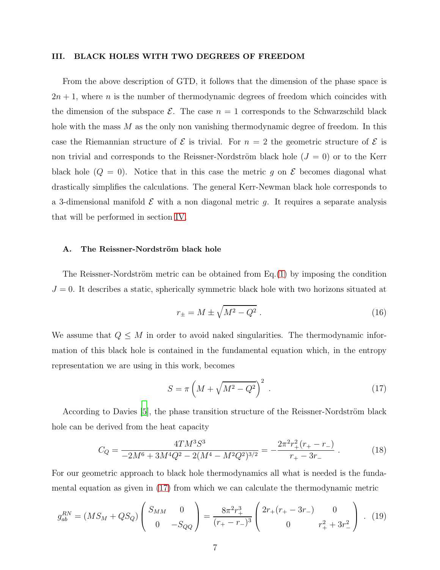#### <span id="page-6-0"></span>III. BLACK HOLES WITH TWO DEGREES OF FREEDOM

From the above description of GTD, it follows that the dimension of the phase space is  $2n + 1$ , where n is the number of thermodynamic degrees of freedom which coincides with the dimension of the subspace  $\mathcal{E}$ . The case  $n = 1$  corresponds to the Schwarzschild black hole with the mass  $M$  as the only non vanishing thermodynamic degree of freedom. In this case the Riemannian structure of  $\mathcal E$  is trivial. For  $n = 2$  the geometric structure of  $\mathcal E$  is non trivial and corresponds to the Reissner-Nordström black hole  $(J = 0)$  or to the Kerr black hole  $(Q = 0)$ . Notice that in this case the metric g on  $\mathcal E$  becomes diagonal what drastically simplifies the calculations. The general Kerr-Newman black hole corresponds to a 3-dimensional manifold  $\mathcal E$  with a non diagonal metric g. It requires a separate analysis that will be performed in section [IV.](#page-8-0)

### A. The Reissner-Nordström black hole

The Reissner-Nordström metric can be obtained from  $Eq.(1)$  $Eq.(1)$  by imposing the condition  $J = 0$ . It describes a static, spherically symmetric black hole with two horizons situated at

$$
r_{\pm} = M \pm \sqrt{M^2 - Q^2} \ . \tag{16}
$$

We assume that  $Q \leq M$  in order to avoid naked singularities. The thermodynamic information of this black hole is contained in the fundamental equation which, in the entropy representation we are using in this work, becomes

<span id="page-6-1"></span>
$$
S = \pi \left( M + \sqrt{M^2 - Q^2} \right)^2 \tag{17}
$$

According to Davies [\[5](#page-10-4)], the phase transition structure of the Reissner-Nordström black hole can be derived from the heat capacity

<span id="page-6-3"></span>
$$
C_Q = \frac{4TM^3S^3}{-2M^6 + 3M^4Q^2 - 2(M^4 - M^2Q^2)^{3/2}} = -\frac{2\pi^2r_+^2(r_+ - r_-)}{r_+ - 3r_-} \,. \tag{18}
$$

For our geometric approach to black hole thermodynamics all what is needed is the fundamental equation as given in [\(17\)](#page-6-1) from which we can calculate the thermodynamic metric

<span id="page-6-2"></span>
$$
g_{ab}^{RN} = (MS_M + QS_Q) \begin{pmatrix} S_{MM} & 0 \\ 0 & -S_{QQ} \end{pmatrix} = \frac{8\pi^2 r_+^3}{(r_+ - r_-)^3} \begin{pmatrix} 2r_+ (r_+ - 3r_-) & 0 \\ 0 & r_+^2 + 3r_-^2 \end{pmatrix} . (19)
$$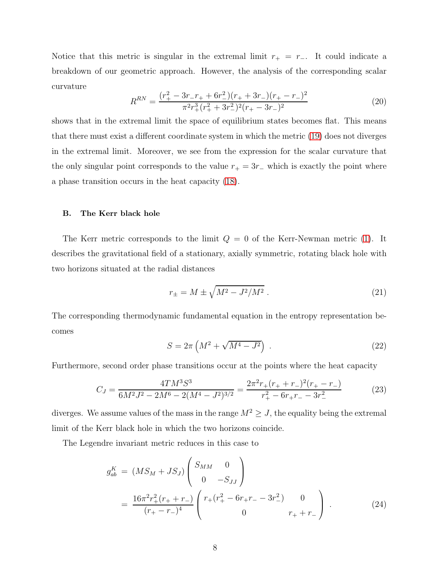Notice that this metric is singular in the extremal limit  $r_{+} = r_{-}$ . It could indicate a breakdown of our geometric approach. However, the analysis of the corresponding scalar curvature

$$
R^{RN} = \frac{(r_+^2 - 3r_-r_+ + 6r_-^2)(r_+ + 3r_-)(r_+ - r_-)^2}{\pi^2 r_+^3 (r_+^2 + 3r_-^2)^2 (r_+ - 3r_-)^2}
$$
(20)

shows that in the extremal limit the space of equilibrium states becomes flat. This means that there must exist a different coordinate system in which the metric [\(19\)](#page-6-2) does not diverges in the extremal limit. Moreover, we see from the expression for the scalar curvature that the only singular point corresponds to the value  $r_{+} = 3r_{-}$  which is exactly the point where a phase transition occurs in the heat capacity [\(18\)](#page-6-3).

#### B. The Kerr black hole

The Kerr metric corresponds to the limit  $Q = 0$  of the Kerr-Newman metric [\(1\)](#page-1-2). It describes the gravitational field of a stationary, axially symmetric, rotating black hole with two horizons situated at the radial distances

$$
r_{\pm} = M \pm \sqrt{M^2 - J^2/M^2} \; . \tag{21}
$$

The corresponding thermodynamic fundamental equation in the entropy representation becomes

$$
S = 2\pi \left( M^2 + \sqrt{M^4 - J^2} \right) \tag{22}
$$

Furthermore, second order phase transitions occur at the points where the heat capacity

<span id="page-7-0"></span>
$$
C_J = \frac{4TM^3S^3}{6M^2J^2 - 2M^6 - 2(M^4 - J^2)^{3/2}} = \frac{2\pi^2r_+(r_+ + r_-)^2(r_+ - r_-)}{r_+^2 - 6r_+r_- - 3r_-^2}
$$
(23)

diverges. We assume values of the mass in the range  $M^2 \geq J$ , the equality being the extremal limit of the Kerr black hole in which the two horizons coincide.

The Legendre invariant metric reduces in this case to

$$
g_{ab}^{K} = (MS_M + JS_J) \begin{pmatrix} S_{MM} & 0 \\ 0 & -S_{JJ} \end{pmatrix}
$$
  
= 
$$
\frac{16\pi^2 r_+^2 (r_+ + r_-)}{(r_+ - r_-)^4} \begin{pmatrix} r_+ (r_+^2 - 6r_+ r_- - 3r_-^2) & 0 \\ 0 & r_+ + r_- \end{pmatrix} .
$$
 (24)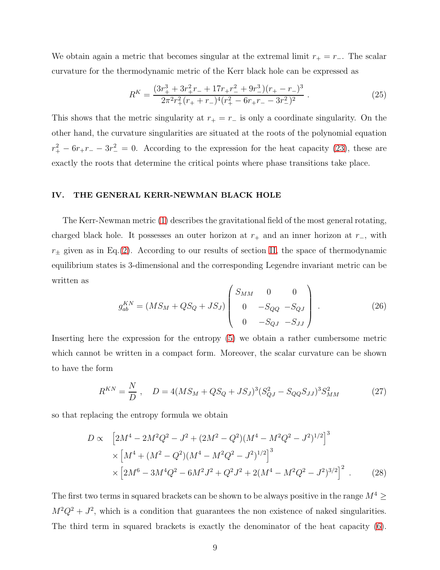We obtain again a metric that becomes singular at the extremal limit  $r_{+} = r_{-}$ . The scalar curvature for the thermodynamic metric of the Kerr black hole can be expressed as

$$
R^{K} = \frac{(3r_{+}^{3} + 3r_{+}^{2}r_{-} + 17r_{+}r_{-}^{2} + 9r_{-}^{3})(r_{+} - r_{-})^{3}}{2\pi^{2}r_{+}^{2}(r_{+} + r_{-})^{4}(r_{+}^{2} - 6r_{+}r_{-} - 3r_{-}^{2})^{2}}.
$$
\n(25)

This shows that the metric singularity at  $r_{+} = r_{-}$  is only a coordinate singularity. On the other hand, the curvature singularities are situated at the roots of the polynomial equation  $r_{+}^{2} - 6r_{+}r_{-} - 3r_{-}^{2} = 0$ . According to the expression for the heat capacity [\(23\)](#page-7-0), these are exactly the roots that determine the critical points where phase transitions take place.

#### <span id="page-8-0"></span>IV. THE GENERAL KERR-NEWMAN BLACK HOLE

The Kerr-Newman metric [\(1\)](#page-1-2) describes the gravitational field of the most general rotating, charged black hole. It possesses an outer horizon at  $r_+$  and an inner horizon at  $r_-,$  with  $r_{\pm}$  given as in Eq.[\(2\)](#page-1-3). According to our results of section [II,](#page-3-0) the space of thermodynamic equilibrium states is 3-dimensional and the corresponding Legendre invariant metric can be written as  $\overline{1}$ 

$$
g_{ab}^{KN} = (MS_M + QS_Q + JS_J) \begin{pmatrix} S_{MM} & 0 & 0 \ 0 & -S_{QQ} & -S_{QJ} \ 0 & -S_{QJ} & -S_{JJ} \end{pmatrix} . \tag{26}
$$

Inserting here the expression for the entropy [\(5\)](#page-1-1) we obtain a rather cumbersome metric which cannot be written in a compact form. Moreover, the scalar curvature can be shown to have the form

$$
R^{KN} = \frac{N}{D}, \quad D = 4(MS_M + QS_Q + JS_J)^3 (S_{QJ}^2 - S_{QQ}S_{JJ})^3 S_{MM}^2 \tag{27}
$$

so that replacing the entropy formula we obtain

$$
D \propto \left[2M^4 - 2M^2Q^2 - J^2 + (2M^2 - Q^2)(M^4 - M^2Q^2 - J^2)^{1/2}\right]^3
$$
  
 
$$
\times \left[M^4 + (M^2 - Q^2)(M^4 - M^2Q^2 - J^2)^{1/2}\right]^3
$$
  
 
$$
\times \left[2M^6 - 3M^4Q^2 - 6M^2J^2 + Q^2J^2 + 2(M^4 - M^2Q^2 - J^2)^{3/2}\right]^2. \tag{28}
$$

The first two terms in squared brackets can be shown to be always positive in the range  $M^4 \geq$  $M^2Q^2 + J^2$ , which is a condition that guarantees the non existence of naked singularities. The third term in squared brackets is exactly the denominator of the heat capacity [\(6\)](#page-2-0).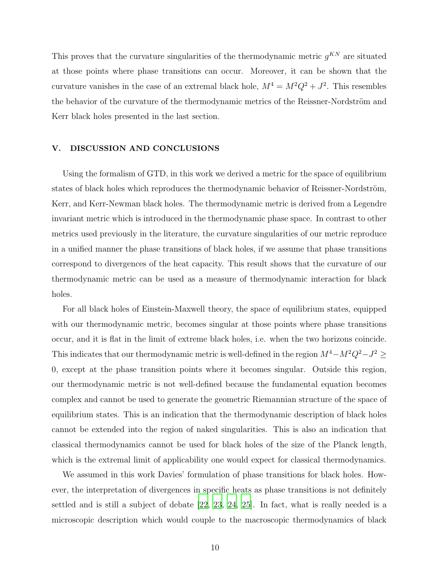This proves that the curvature singularities of the thermodynamic metric  $g^{KN}$  are situated at those points where phase transitions can occur. Moreover, it can be shown that the curvature vanishes in the case of an extremal black hole,  $M^4 = M^2 Q^2 + J^2$ . This resembles the behavior of the curvature of the thermodynamic metrics of the Reissner-Nordström and Kerr black holes presented in the last section.

#### <span id="page-9-0"></span>V. DISCUSSION AND CONCLUSIONS

Using the formalism of GTD, in this work we derived a metric for the space of equilibrium states of black holes which reproduces the thermodynamic behavior of Reissner-Nordström, Kerr, and Kerr-Newman black holes. The thermodynamic metric is derived from a Legendre invariant metric which is introduced in the thermodynamic phase space. In contrast to other metrics used previously in the literature, the curvature singularities of our metric reproduce in a unified manner the phase transitions of black holes, if we assume that phase transitions correspond to divergences of the heat capacity. This result shows that the curvature of our thermodynamic metric can be used as a measure of thermodynamic interaction for black holes.

For all black holes of Einstein-Maxwell theory, the space of equilibrium states, equipped with our thermodynamic metric, becomes singular at those points where phase transitions occur, and it is flat in the limit of extreme black holes, i.e. when the two horizons coincide. This indicates that our thermodynamic metric is well-defined in the region  $M^4 - M^2 Q^2 - J^2 \geq$ 0, except at the phase transition points where it becomes singular. Outside this region, our thermodynamic metric is not well-defined because the fundamental equation becomes complex and cannot be used to generate the geometric Riemannian structure of the space of equilibrium states. This is an indication that the thermodynamic description of black holes cannot be extended into the region of naked singularities. This is also an indication that classical thermodynamics cannot be used for black holes of the size of the Planck length, which is the extremal limit of applicability one would expect for classical thermodynamics.

We assumed in this work Davies' formulation of phase transitions for black holes. However, the interpretation of divergences in specific heats as phase transitions is not definitely settled and is still a subject of debate [\[22](#page-11-13), [23,](#page-11-14) [24,](#page-11-15) [25](#page-11-16)]. In fact, what is really needed is a microscopic description which would couple to the macroscopic thermodynamics of black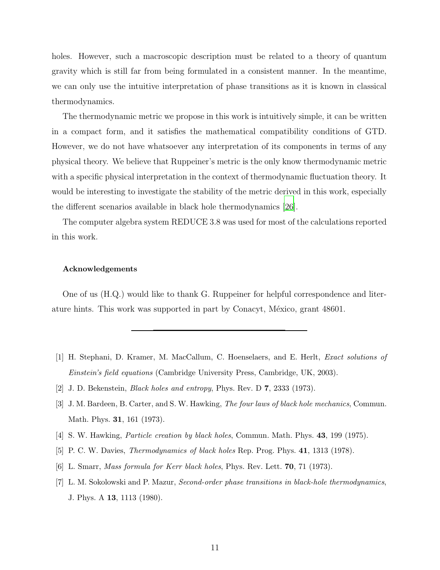holes. However, such a macroscopic description must be related to a theory of quantum gravity which is still far from being formulated in a consistent manner. In the meantime, we can only use the intuitive interpretation of phase transitions as it is known in classical thermodynamics.

The thermodynamic metric we propose in this work is intuitively simple, it can be written in a compact form, and it satisfies the mathematical compatibility conditions of GTD. However, we do not have whatsoever any interpretation of its components in terms of any physical theory. We believe that Ruppeiner's metric is the only know thermodynamic metric with a specific physical interpretation in the context of thermodynamic fluctuation theory. It would be interesting to investigate the stability of the metric derived in this work, especially the different scenarios available in black hole thermodynamics [\[26](#page-12-0)].

The computer algebra system REDUCE 3.8 was used for most of the calculations reported in this work.

#### Acknowledgements

One of us (H.Q.) would like to thank G. Ruppeiner for helpful correspondence and literature hints. This work was supported in part by Conacyt, México, grant 48601.

- <span id="page-10-0"></span>[1] H. Stephani, D. Kramer, M. MacCallum, C. Hoenselaers, and E. Herlt, Exact solutions of Einstein's field equations (Cambridge University Press, Cambridge, UK, 2003).
- <span id="page-10-1"></span>[2] J. D. Bekenstein, Black holes and entropy, Phys. Rev. D 7, 2333 (1973).
- <span id="page-10-2"></span>[3] J. M. Bardeen, B. Carter, and S. W. Hawking, The four laws of black hole mechanics, Commun. Math. Phys. 31, 161 (1973).
- <span id="page-10-3"></span>[4] S. W. Hawking, *Particle creation by black holes*, Commun. Math. Phys. **43**, 199 (1975).
- <span id="page-10-4"></span>[5] P. C. W. Davies, Thermodynamics of black holes Rep. Prog. Phys. 41, 1313 (1978).
- <span id="page-10-5"></span>[6] L. Smarr, Mass formula for Kerr black holes, Phys. Rev. Lett. 70, 71 (1973).
- <span id="page-10-6"></span>[7] L. M. Sokolowski and P. Mazur, Second-order phase transitions in black-hole thermodynamics, J. Phys. A 13, 1113 (1980).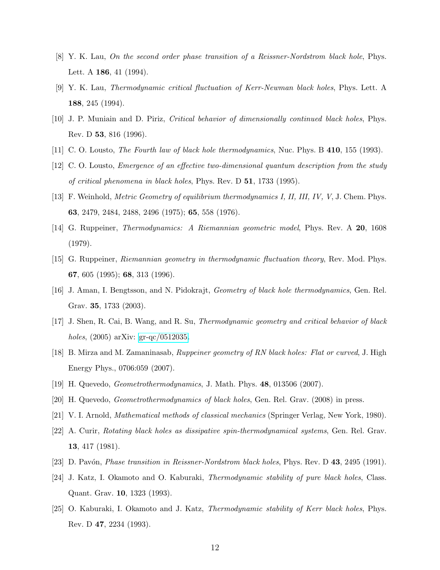- <span id="page-11-0"></span>[8] Y. K. Lau, On the second order phase transition of a Reissner-Nordstrom black hole, Phys. Lett. A **186**, 41 (1994).
- <span id="page-11-1"></span>[9] Y. K. Lau, Thermodynamic critical fluctuation of Kerr-Newman black holes, Phys. Lett. A 188, 245 (1994).
- <span id="page-11-2"></span>[10] J. P. Muniain and D. Piriz, Critical behavior of dimensionally continued black holes, Phys. Rev. D 53, 816 (1996).
- <span id="page-11-4"></span><span id="page-11-3"></span>[11] C. O. Lousto, *The Fourth law of black hole thermodynamics*, Nuc. Phys. B 410, 155 (1993).
- [12] C. O. Lousto, Emergence of an effective two-dimensional quantum description from the study of critical phenomena in black holes, Phys. Rev. D 51, 1733 (1995).
- <span id="page-11-5"></span>[13] F. Weinhold, Metric Geometry of equilibrium thermodynamics I, II, III, IV, V, J. Chem. Phys. 63, 2479, 2484, 2488, 2496 (1975); 65, 558 (1976).
- <span id="page-11-6"></span>[14] G. Ruppeiner, Thermodynamics: A Riemannian geometric model, Phys. Rev. A 20, 1608 (1979).
- [15] G. Ruppeiner, Riemannian geometry in thermodynamic fluctuation theory, Rev. Mod. Phys. 67, 605 (1995); 68, 313 (1996).
- <span id="page-11-7"></span>[16] J. Aman, I. Bengtsson, and N. Pidokrajt, Geometry of black hole thermodynamics, Gen. Rel. Grav. 35, 1733 (2003).
- <span id="page-11-8"></span>[17] J. Shen, R. Cai, B. Wang, and R. Su, Thermodynamic geometry and critical behavior of black holes, (2005) arXiv: [gr-qc/0512035.](http://arxiv.org/abs/gr-qc/0512035)
- <span id="page-11-9"></span>[18] B. Mirza and M. Zamaninasab, Ruppeiner geometry of RN black holes: Flat or curved, J. High Energy Phys., 0706:059 (2007).
- <span id="page-11-10"></span>[19] H. Quevedo, Geometrothermodynamics, J. Math. Phys. 48, 013506 (2007).
- <span id="page-11-12"></span><span id="page-11-11"></span>[20] H. Quevedo, Geometrothermodynamics of black holes, Gen. Rel. Grav. (2008) in press.
- <span id="page-11-13"></span>[21] V. I. Arnold, Mathematical methods of classical mechanics (Springer Verlag, New York, 1980).
- [22] A. Curir, Rotating black holes as dissipative spin-thermodynamical systems, Gen. Rel. Grav. 13, 417 (1981).
- <span id="page-11-14"></span>[23] D. Pavón, *Phase transition in Reissner-Nordstrom black holes*, Phys. Rev. D 43, 2495 (1991).
- <span id="page-11-15"></span>[24] J. Katz, I. Okamoto and O. Kaburaki, Thermodynamic stability of pure black holes, Class. Quant. Grav. 10, 1323 (1993).
- <span id="page-11-16"></span>[25] O. Kaburaki, I. Okamoto and J. Katz, Thermodynamic stability of Kerr black holes, Phys. Rev. D 47, 2234 (1993).